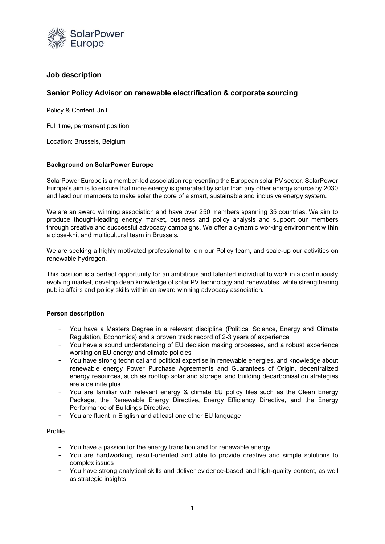

# **Job description**

# **Senior Policy Advisor on renewable electrification & corporate sourcing**

Policy & Content Unit

Full time, permanent position

Location: Brussels, Belgium

### **Background on SolarPower Europe**

SolarPower Europe is a member-led association representing the European solar PV sector. SolarPower Europe's aim is to ensure that more energy is generated by solar than any other energy source by 2030 and lead our members to make solar the core of a smart, sustainable and inclusive energy system.

We are an award winning association and have over 250 members spanning 35 countries. We aim to produce thought-leading energy market, business and policy analysis and support our members through creative and successful advocacy campaigns. We offer a dynamic working environment within a close-knit and multicultural team in Brussels.

We are seeking a highly motivated professional to join our Policy team, and scale-up our activities on renewable hydrogen.

This position is a perfect opportunity for an ambitious and talented individual to work in a continuously evolving market, develop deep knowledge of solar PV technology and renewables, while strengthening public affairs and policy skills within an award winning advocacy association.

#### **Person description**

- You have a Masters Degree in a relevant discipline (Political Science, Energy and Climate Regulation, Economics) and a proven track record of 2-3 years of experience
- You have a sound understanding of EU decision making processes, and a robust experience working on EU energy and climate policies
- You have strong technical and political expertise in renewable energies, and knowledge about renewable energy Power Purchase Agreements and Guarantees of Origin, decentralized energy resources, such as rooftop solar and storage, and building decarbonisation strategies are a definite plus.
- You are familiar with relevant energy & climate EU policy files such as the Clean Energy Package, the Renewable Energy Directive, Energy Efficiency Directive, and the Energy Performance of Buildings Directive.
- You are fluent in English and at least one other EU language

#### Profile

- You have a passion for the energy transition and for renewable energy
- You are hardworking, result-oriented and able to provide creative and simple solutions to complex issues
- You have strong analytical skills and deliver evidence-based and high-quality content, as well as strategic insights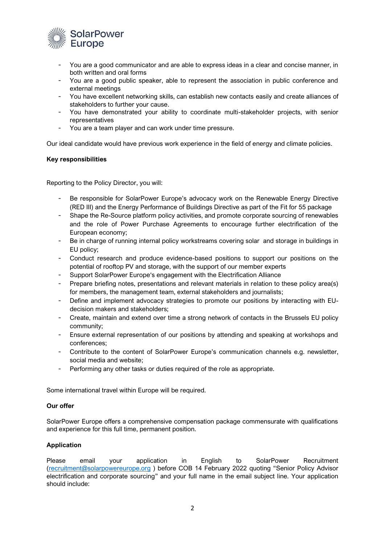

- You are a good communicator and are able to express ideas in a clear and concise manner, in both written and oral forms
- You are a good public speaker, able to represent the association in public conference and external meetings
- You have excellent networking skills, can establish new contacts easily and create alliances of stakeholders to further your cause.
- You have demonstrated your ability to coordinate multi-stakeholder projects, with senior representatives
- You are a team player and can work under time pressure.

Our ideal candidate would have previous work experience in the field of energy and climate policies.

### **Key responsibilities**

Reporting to the Policy Director, you will:

- Be responsible for SolarPower Europe's advocacy work on the Renewable Energy Directive (RED III) and the Energy Performance of Buildings Directive as part of the Fit for 55 package
- Shape the Re-Source platform policy activities, and promote corporate sourcing of renewables and the role of Power Purchase Agreements to encourage further electrification of the European economy;
- Be in charge of running internal policy workstreams covering solar and storage in buildings in EU policy;
- Conduct research and produce evidence-based positions to support our positions on the potential of rooftop PV and storage, with the support of our member experts
- Support SolarPower Europe's engagement with the Electrification Alliance
- Prepare briefing notes, presentations and relevant materials in relation to these policy area(s) for members, the management team, external stakeholders and journalists;
- Define and implement advocacy strategies to promote our positions by interacting with EUdecision makers and stakeholders;
- Create, maintain and extend over time a strong network of contacts in the Brussels EU policy community;
- Ensure external representation of our positions by attending and speaking at workshops and conferences;
- Contribute to the content of SolarPower Europe's communication channels e.g. newsletter, social media and website;
- Performing any other tasks or duties required of the role as appropriate.

Some international travel within Europe will be required.

#### **Our offer**

SolarPower Europe offers a comprehensive compensation package commensurate with qualifications and experience for this full time, permanent position.

## **Application**

Please email your application in English to SolarPower Recruitment [\(recruitment@solarpowereurope.org](mailto:recruitment@solarpowereurope.org) ) before COB 14 February 2022 quoting "Senior Policy Advisor electrification and corporate sourcing" and your full name in the email subject line. Your application should include: